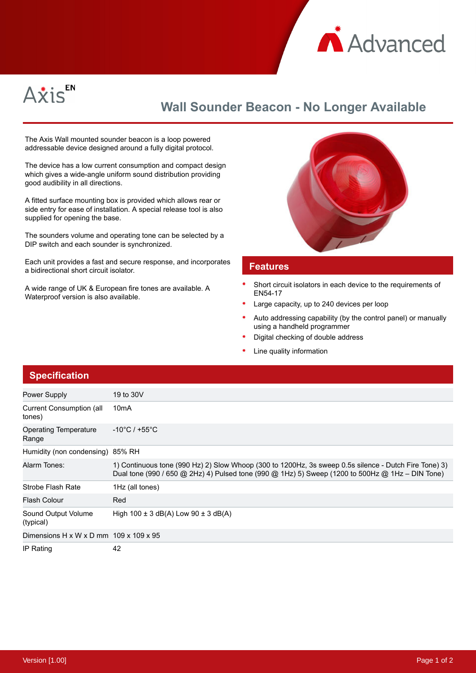



## **Wall Sounder Beacon - No Longer Available**

The Axis Wall mounted sounder beacon is a loop powered addressable device designed around a fully digital protocol.

The device has a low current consumption and compact design which gives a wide-angle uniform sound distribution providing good audibility in all directions.

A fitted surface mounting box is provided which allows rear or side entry for ease of installation. A special release tool is also supplied for opening the base.

The sounders volume and operating tone can be selected by a DIP switch and each sounder is synchronized.

Each unit provides a fast and secure response, and incorporates a bidirectional short circuit isolator.

A wide range of UK & European fire tones are available. A Waterproof version is also available.



## **Features**

- Short circuit isolators in each device to the requirements of EN54-17
- Large capacity, up to 240 devices per loop
- Auto addressing capability (by the control panel) or manually using a handheld programmer
- Digital checking of double address
- Line quality information

## **Specification**

| Power Supply                                       | 19 to 30V                                                                                                                                                                                                 |
|----------------------------------------------------|-----------------------------------------------------------------------------------------------------------------------------------------------------------------------------------------------------------|
| <b>Current Consumption (all</b><br>tones)          | 10 <sub>m</sub> A                                                                                                                                                                                         |
| Operating Temperature<br>Range                     | $-10^{\circ}$ C / +55 $^{\circ}$ C                                                                                                                                                                        |
| Humidity (non condensing) 85% RH                   |                                                                                                                                                                                                           |
| Alarm Tones:                                       | 1) Continuous tone (990 Hz) 2) Slow Whoop (300 to 1200Hz, 3s sweep 0.5s silence - Dutch Fire Tone) 3)<br>Dual tone (990 / 650 @ 2Hz) 4) Pulsed tone (990 @ 1Hz) 5) Sweep (1200 to 500Hz @ 1Hz – DIN Tone) |
| Strobe Flash Rate                                  | 1Hz (all tones)                                                                                                                                                                                           |
| <b>Flash Colour</b>                                | Red                                                                                                                                                                                                       |
| Sound Output Volume<br>(typical)                   | High $100 \pm 3$ dB(A) Low $90 \pm 3$ dB(A)                                                                                                                                                               |
| Dimensions H x W x D mm $109 \times 109 \times 95$ |                                                                                                                                                                                                           |
| IP Rating                                          | 42                                                                                                                                                                                                        |